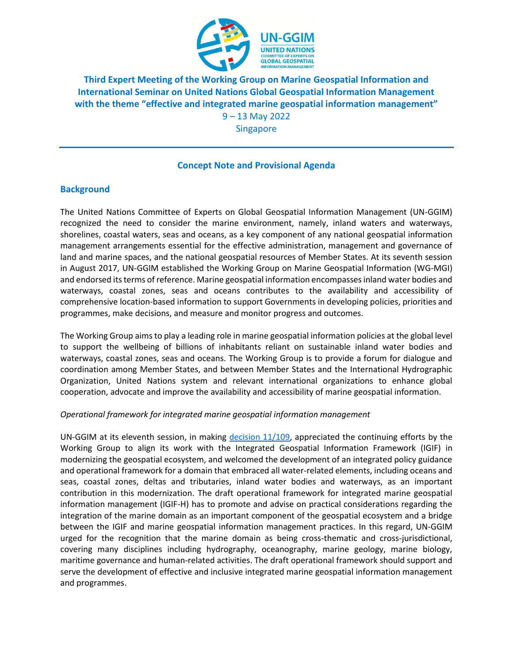

**Third Expert Meeting of the Working Group on Marine Geospatial Information and International Seminar on United Nations Global Geospatial Information Management with the theme "effective and integrated marine geospatial information management"**

9 – 13 May 2022 Singapore

## **Concept Note and Provisional Agenda**

## **Background**

The United Nations Committee of Experts on Global Geospatial Information Management (UN-GGIM) recognized the need to consider the marine environment, namely, inland waters and waterways, shorelines, coastal waters, seas and oceans, as a key component of any national geospatial information management arrangements essential for the effective administration, management and governance of land and marine spaces, and the national geospatial resources of Member States. At its seventh session in August 2017, UN-GGIM established the Working Group on Marine Geospatial Information (WG-MGI) and endorsed its terms of reference. Marine geospatial information encompasses inland water bodies and waterways, coastal zones, seas and oceans contributes to the availability and accessibility of comprehensive location-based information to support Governments in developing policies, priorities and programmes, make decisions, and measure and monitor progress and outcomes.

The Working Group aims to play a leading role in marine geospatial information policies at the global level to support the wellbeing of billions of inhabitants reliant on sustainable inland water bodies and waterways, coastal zones, seas and oceans. The Working Group is to provide a forum for dialogue and coordination among Member States, and between Member States and the International Hydrographic Organization, United Nations system and relevant international organizations to enhance global cooperation, advocate and improve the availability and accessibility of marine geospatial information.

#### *Operational framework for integrated marine geospatial information management*

UN-GGIM at its eleventh session, in making decision  $11/109$ , appreciated the continuing efforts by the Working Group to align its work with the Integrated Geospatial Information Framework (IGIF) in modernizing the geospatial ecosystem, and welcomed the development of an integrated policy guidance and operational framework for a domain that embraced all water-related elements, including oceans and seas, coastal zones, deltas and tributaries, inland water bodies and waterways, as an important contribution in this modernization. The draft operational framework for integrated marine geospatial information management (IGIF-H) has to promote and advise on practical considerations regarding the integration of the marine domain as an important component of the geospatial ecosystem and a bridge between the IGIF and marine geospatial information management practices. In this regard, UN-GGIM urged for the recognition that the marine domain as being cross-thematic and cross-jurisdictional, covering many disciplines including hydrography, oceanography, marine geology, marine biology, maritime governance and human-related activities. The draft operational framework should support and serve the development of effective and inclusive integrated marine geospatial information management and programmes.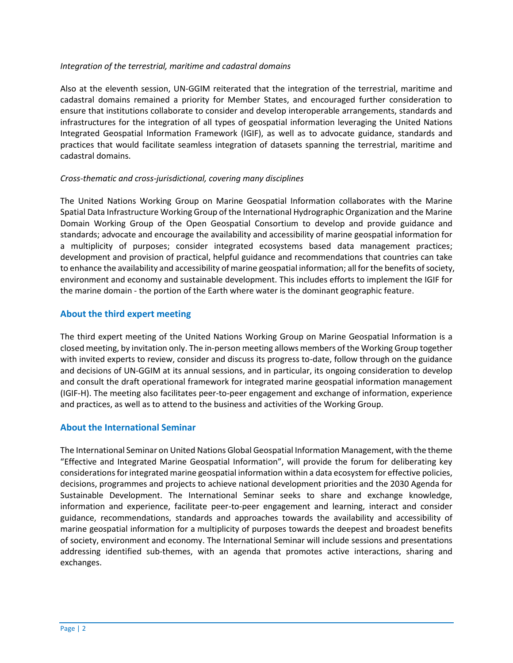#### *Integration of the terrestrial, maritime and cadastral domains*

Also at the eleventh session, UN-GGIM reiterated that the integration of the terrestrial, maritime and cadastral domains remained a priority for Member States, and encouraged further consideration to ensure that institutions collaborate to consider and develop interoperable arrangements, standards and infrastructures for the integration of all types of geospatial information leveraging the United Nations Integrated Geospatial Information Framework (IGIF), as well as to advocate guidance, standards and practices that would facilitate seamless integration of datasets spanning the terrestrial, maritime and cadastral domains.

#### *Cross-thematic and cross-jurisdictional, covering many disciplines*

The United Nations Working Group on Marine Geospatial Information collaborates with the Marine Spatial Data Infrastructure Working Group of the International Hydrographic Organization and the Marine Domain Working Group of the Open Geospatial Consortium to develop and provide guidance and standards; advocate and encourage the availability and accessibility of marine geospatial information for a multiplicity of purposes; consider integrated ecosystems based data management practices; development and provision of practical, helpful guidance and recommendations that countries can take to enhance the availability and accessibility of marine geospatial information; all forthe benefits ofsociety, environment and economy and sustainable development. This includes efforts to implement the IGIF for the marine domain - the portion of the Earth where water is the dominant geographic feature.

### **About the third expert meeting**

The third expert meeting of the United Nations Working Group on Marine Geospatial Information is a closed meeting, by invitation only. The in-person meeting allows members of the Working Group together with invited experts to review, consider and discuss its progress to-date, follow through on the guidance and decisions of UN-GGIM at its annual sessions, and in particular, its ongoing consideration to develop and consult the draft operational framework for integrated marine geospatial information management (IGIF-H). The meeting also facilitates peer-to-peer engagement and exchange of information, experience and practices, as well as to attend to the business and activities of the Working Group.

## **About the International Seminar**

The International Seminar on United Nations Global Geospatial Information Management, with the theme "Effective and Integrated Marine Geospatial Information", will provide the forum for deliberating key considerations for integrated marine geospatial information within a data ecosystem for effective policies, decisions, programmes and projects to achieve national development priorities and the 2030 Agenda for Sustainable Development. The International Seminar seeks to share and exchange knowledge, information and experience, facilitate peer-to-peer engagement and learning, interact and consider guidance, recommendations, standards and approaches towards the availability and accessibility of marine geospatial information for a multiplicity of purposes towards the deepest and broadest benefits of society, environment and economy. The International Seminar will include sessions and presentations addressing identified sub-themes, with an agenda that promotes active interactions, sharing and exchanges.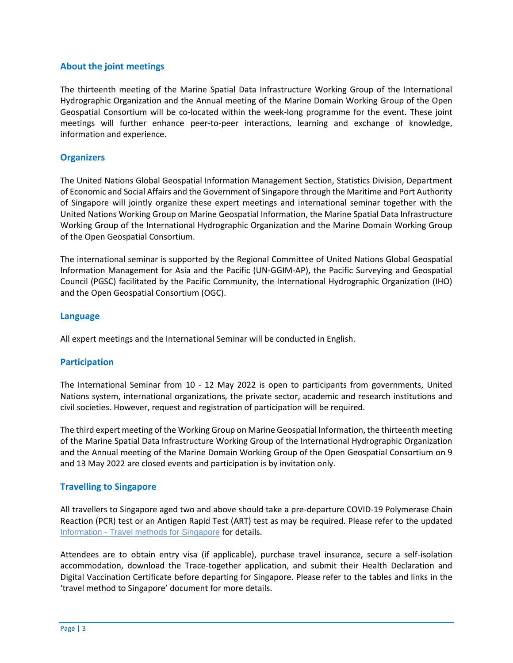## **About the joint meetings**

The thirteenth meeting of the Marine Spatial Data Infrastructure Working Group of the International Hydrographic Organization and the Annual meeting of the Marine Domain Working Group of the Open Geospatial Consortium will be co-located within the week-long programme for the event. These joint meetings will further enhance peer-to-peer interactions, learning and exchange of knowledge, information and experience.

### **Organizers**

The United Nations Global Geospatial Information Management Section, Statistics Division, Department of Economic and Social Affairs and the Government of Singapore through the Maritime and Port Authority of Singapore will jointly organize these expert meetings and international seminar together with the United Nations Working Group on Marine Geospatial Information, the Marine Spatial Data Infrastructure Working Group of the International Hydrographic Organization and the Marine Domain Working Group of the Open Geospatial Consortium.

The international seminar is supported by the Regional Committee of United Nations Global Geospatial Information Management for Asia and the Pacific (UN-GGIM-AP), the Pacific Surveying and Geospatial Council (PGSC) facilitated by the Pacific Community, the International Hydrographic Organization (IHO) and the Open Geospatial Consortium (OGC).

#### **Language**

All expert meetings and the International Seminar will be conducted in English.

#### **Participation**

The International Seminar from 10 - 12 May 2022 is open to participants from governments, United Nations system, international organizations, the private sector, academic and research institutions and civil societies. However, request and registration of participation will be required.

The third expert meeting of the Working Group on Marine Geospatial Information, the thirteenth meeting of the Marine Spatial Data Infrastructure Working Group of the International Hydrographic Organization and the Annual meeting of the Marine Domain Working Group of the Open Geospatial Consortium on 9 and 13 May 2022 are closed events and participation is by invitation only.

#### **Travelling to Singapore**

All travellers to Singapore aged two and above should take a pre-departure COVID-19 Polymerase Chain Reaction (PCR) test or an Antigen Rapid Test (ART) test as may be required. Please refer to the updated Information - [Travel methods for](https://ggim.un.org/meetings/2022/3rd-WG-MGI/documents/Travel-methods-for-Singapore_4Apr.pdf) Singapore for details.

Attendees are to obtain entry visa (if applicable), purchase travel insurance, secure a self-isolation accommodation, download the Trace-together application, and submit their Health Declaration and Digital Vaccination Certificate before departing for Singapore. Please refer to the tables and links in the 'travel method to Singapore' document for more details.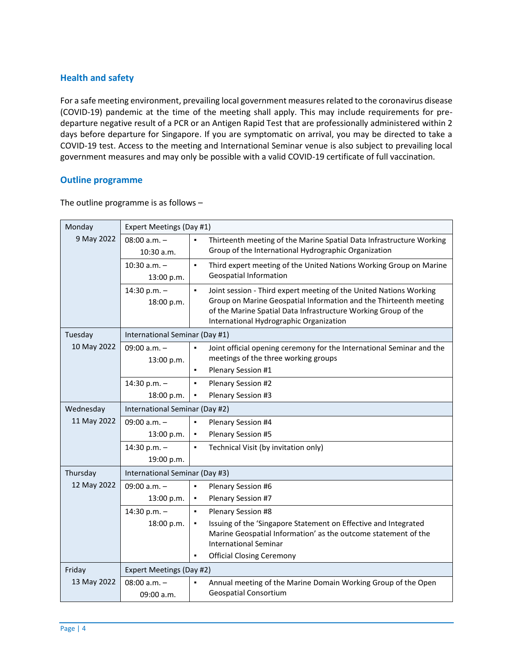# **Health and safety**

For a safe meeting environment, prevailing local government measures related to the coronavirus disease (COVID-19) pandemic at the time of the meeting shall apply. This may include requirements for predeparture negative result of a PCR or an Antigen Rapid Test that are professionally administered within 2 days before departure for Singapore. If you are symptomatic on arrival, you may be directed to take a COVID-19 test. Access to the meeting and International Seminar venue is also subject to prevailing local government measures and may only be possible with a valid COVID-19 certificate of full vaccination.

#### **Outline programme**

The outline programme is as follows –

| Monday      | Expert Meetings (Day #1)       |                                                                                                                                                                                                                                                                        |  |
|-------------|--------------------------------|------------------------------------------------------------------------------------------------------------------------------------------------------------------------------------------------------------------------------------------------------------------------|--|
| 9 May 2022  | $08:00 a.m. -$<br>$10:30$ a.m. | Thirteenth meeting of the Marine Spatial Data Infrastructure Working<br>Group of the International Hydrographic Organization                                                                                                                                           |  |
|             | $10:30$ a.m. $-$<br>13:00 p.m. | Third expert meeting of the United Nations Working Group on Marine<br>$\blacksquare$<br><b>Geospatial Information</b>                                                                                                                                                  |  |
|             | 14:30 p.m. -<br>18:00 p.m.     | Joint session - Third expert meeting of the United Nations Working<br>$\blacksquare$<br>Group on Marine Geospatial Information and the Thirteenth meeting<br>of the Marine Spatial Data Infrastructure Working Group of the<br>International Hydrographic Organization |  |
| Tuesday     | International Seminar (Day #1) |                                                                                                                                                                                                                                                                        |  |
| 10 May 2022 | $09:00 a.m. -$<br>13:00 p.m.   | Joint official opening ceremony for the International Seminar and the<br>$\blacksquare$<br>meetings of the three working groups                                                                                                                                        |  |
|             |                                | Plenary Session #1<br>$\blacksquare$                                                                                                                                                                                                                                   |  |
|             | 14:30 p.m. $-$                 | Plenary Session #2<br>$\blacksquare$                                                                                                                                                                                                                                   |  |
|             | 18:00 p.m.                     | Plenary Session #3<br>٠                                                                                                                                                                                                                                                |  |
| Wednesday   | International Seminar (Day #2) |                                                                                                                                                                                                                                                                        |  |
| 11 May 2022 | 09:00 $a.m. -$                 | $\blacksquare$<br>Plenary Session #4                                                                                                                                                                                                                                   |  |
|             | 13:00 p.m.                     | Plenary Session #5<br>٠                                                                                                                                                                                                                                                |  |
|             | 14:30 p.m. -                   | Technical Visit (by invitation only)<br>$\blacksquare$                                                                                                                                                                                                                 |  |
|             | 19:00 p.m.                     |                                                                                                                                                                                                                                                                        |  |
| Thursday    | International Seminar (Day #3) |                                                                                                                                                                                                                                                                        |  |
| 12 May 2022 | 09:00 $a.m. -$                 | Plenary Session #6<br>$\blacksquare$                                                                                                                                                                                                                                   |  |
|             | 13:00 p.m.                     | Plenary Session #7<br>$\blacksquare$                                                                                                                                                                                                                                   |  |
|             | 14:30 p.m. $-$                 | $\blacksquare$<br>Plenary Session #8                                                                                                                                                                                                                                   |  |
|             | 18:00 p.m.                     | Issuing of the 'Singapore Statement on Effective and Integrated<br>٠<br>Marine Geospatial Information' as the outcome statement of the<br><b>International Seminar</b>                                                                                                 |  |
|             |                                | <b>Official Closing Ceremony</b><br>٠                                                                                                                                                                                                                                  |  |
| Friday      | Expert Meetings (Day #2)       |                                                                                                                                                                                                                                                                        |  |
| 13 May 2022 | 08:00 $a.m. -$<br>09:00 a.m.   | Annual meeting of the Marine Domain Working Group of the Open<br><b>Geospatial Consortium</b>                                                                                                                                                                          |  |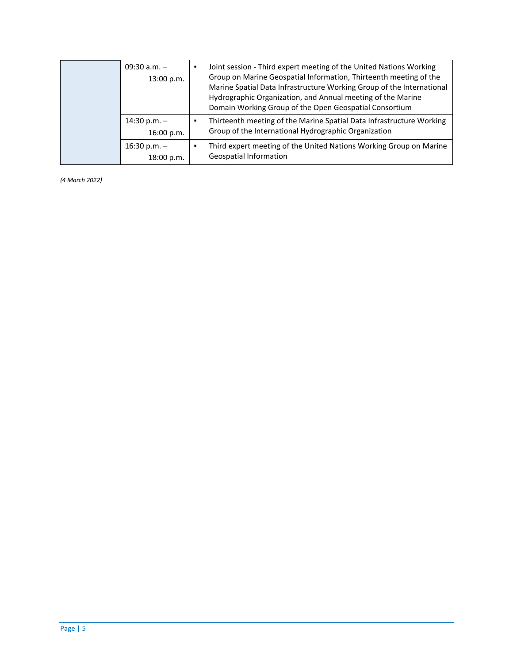| 09:30 $a.m. -$<br>13:00 p.m. | Joint session - Third expert meeting of the United Nations Working<br>Group on Marine Geospatial Information, Thirteenth meeting of the<br>Marine Spatial Data Infrastructure Working Group of the International<br>Hydrographic Organization, and Annual meeting of the Marine<br>Domain Working Group of the Open Geospatial Consortium |
|------------------------------|-------------------------------------------------------------------------------------------------------------------------------------------------------------------------------------------------------------------------------------------------------------------------------------------------------------------------------------------|
| 14:30 p.m. $-$<br>16:00 p.m. | Thirteenth meeting of the Marine Spatial Data Infrastructure Working<br>Group of the International Hydrographic Organization                                                                                                                                                                                                              |
| $16:30 p.m. -$<br>18:00 p.m. | Third expert meeting of the United Nations Working Group on Marine<br>Geospatial Information                                                                                                                                                                                                                                              |

*(4 March 2022)*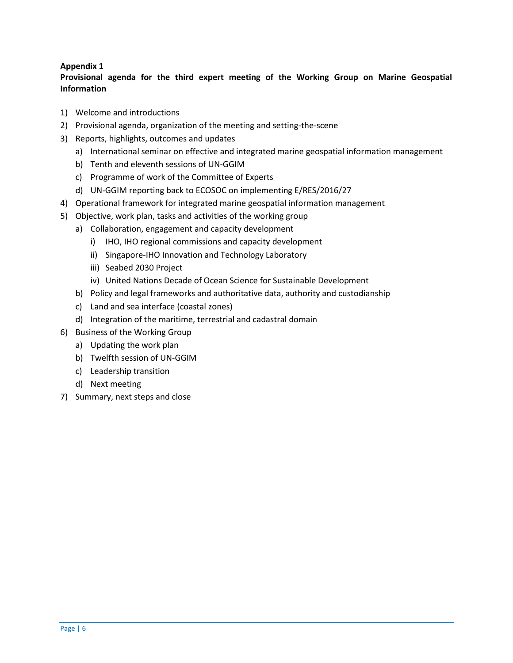# **Appendix 1**

# **Provisional agenda for the third expert meeting of the Working Group on Marine Geospatial Information**

- 1) Welcome and introductions
- 2) Provisional agenda, organization of the meeting and setting-the-scene
- 3) Reports, highlights, outcomes and updates
	- a) International seminar on effective and integrated marine geospatial information management
	- b) Tenth and eleventh sessions of UN-GGIM
	- c) Programme of work of the Committee of Experts
	- d) UN-GGIM reporting back to ECOSOC on implementing E/RES/2016/27
- 4) Operational framework for integrated marine geospatial information management
- 5) Objective, work plan, tasks and activities of the working group
	- a) Collaboration, engagement and capacity development
		- i) IHO, IHO regional commissions and capacity development
		- ii) Singapore-IHO Innovation and Technology Laboratory
		- iii) Seabed 2030 Project
		- iv) United Nations Decade of Ocean Science for Sustainable Development
	- b) Policy and legal frameworks and authoritative data, authority and custodianship
	- c) Land and sea interface (coastal zones)
	- d) Integration of the maritime, terrestrial and cadastral domain
- 6) Business of the Working Group
	- a) Updating the work plan
	- b) Twelfth session of UN-GGIM
	- c) Leadership transition
	- d) Next meeting
- 7) Summary, next steps and close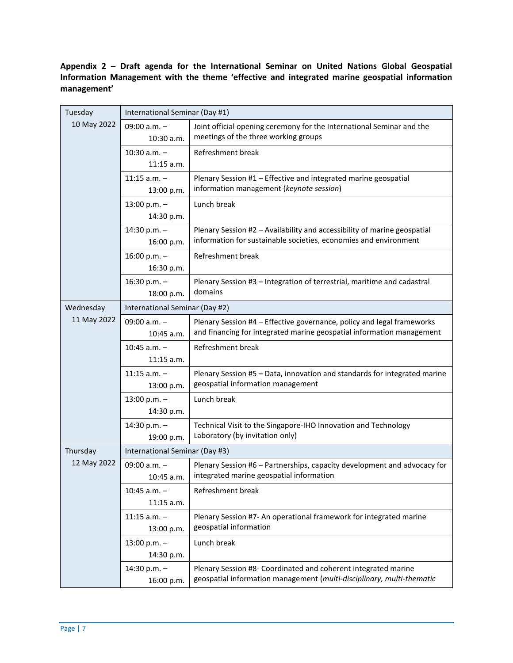**Appendix 2 – Draft agenda for the International Seminar on United Nations Global Geospatial Information Management with the theme 'effective and integrated marine geospatial information management'**

| Tuesday     | International Seminar (Day #1)   |                                                                                                                                                 |  |
|-------------|----------------------------------|-------------------------------------------------------------------------------------------------------------------------------------------------|--|
| 10 May 2022 | 09:00 $a.m. -$<br>10:30 a.m.     | Joint official opening ceremony for the International Seminar and the<br>meetings of the three working groups                                   |  |
|             | $10:30$ a.m. $-$<br>$11:15$ a.m. | Refreshment break                                                                                                                               |  |
|             | $11:15$ a.m. $-$<br>13:00 p.m.   | Plenary Session #1 - Effective and integrated marine geospatial<br>information management (keynote session)                                     |  |
|             | $13:00 p.m. -$<br>14:30 p.m.     | Lunch break                                                                                                                                     |  |
|             | 14:30 p.m. $-$<br>16:00 p.m.     | Plenary Session #2 - Availability and accessibility of marine geospatial<br>information for sustainable societies, economies and environment    |  |
|             | 16:00 p.m. $-$<br>16:30 p.m.     | Refreshment break                                                                                                                               |  |
|             | 16:30 p.m. $-$<br>18:00 p.m.     | Plenary Session #3 - Integration of terrestrial, maritime and cadastral<br>domains                                                              |  |
| Wednesday   | International Seminar (Day #2)   |                                                                                                                                                 |  |
| 11 May 2022 | 09:00 $a.m. -$<br>$10:45$ a.m.   | Plenary Session #4 - Effective governance, policy and legal frameworks<br>and financing for integrated marine geospatial information management |  |
|             | $10:45$ a.m. $-$<br>$11:15$ a.m. | Refreshment break                                                                                                                               |  |
|             | $11:15$ a.m. -<br>13:00 p.m.     | Plenary Session #5 - Data, innovation and standards for integrated marine<br>geospatial information management                                  |  |
|             | $13:00 p.m. -$<br>14:30 p.m.     | Lunch break                                                                                                                                     |  |
|             | 14:30 p.m. $-$<br>19:00 p.m.     | Technical Visit to the Singapore-IHO Innovation and Technology<br>Laboratory (by invitation only)                                               |  |
| Thursday    | International Seminar (Day #3)   |                                                                                                                                                 |  |
| 12 May 2022 | 09:00 $a.m. -$<br>10:45 a.m.     | Plenary Session #6 - Partnerships, capacity development and advocacy for<br>integrated marine geospatial information                            |  |
|             | $10:45$ a.m. $-$<br>$11:15$ a.m. | Refreshment break                                                                                                                               |  |
|             | $11:15$ a.m. -<br>13:00 p.m.     | Plenary Session #7- An operational framework for integrated marine<br>geospatial information                                                    |  |
|             | $13:00 p.m. -$<br>14:30 p.m.     | Lunch break                                                                                                                                     |  |
|             | 14:30 p.m. $-$<br>16:00 p.m.     | Plenary Session #8- Coordinated and coherent integrated marine<br>geospatial information management (multi-disciplinary, multi-thematic         |  |